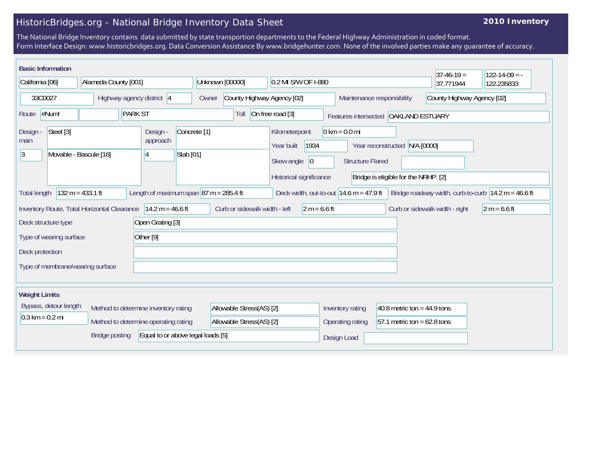## HistoricBridges.org - National Bridge Inventory Data Sheet

## **2010 Inventory**

The National Bridge Inventory contains data submitted by state transportion departments to the Federal Highway Administration in coded format. Form Interface Design: www.historicbridges.org. Data Conversion Assistance By www.bridgehunter.com. None of the involved parties make any guarantee of accuracy.

|                                                                                                                                                                                                                                                                                 | <b>Basic Information</b>            |                                  |                      |                                                                    |                                      |                                        |                                                                   |                                                            |                               | $37-46-19=$ | $122 - 14 - 09 = -$ |
|---------------------------------------------------------------------------------------------------------------------------------------------------------------------------------------------------------------------------------------------------------------------------------|-------------------------------------|----------------------------------|----------------------|--------------------------------------------------------------------|--------------------------------------|----------------------------------------|-------------------------------------------------------------------|------------------------------------------------------------|-------------------------------|-------------|---------------------|
| California [06]                                                                                                                                                                                                                                                                 |                                     | Alameda County [001]             |                      |                                                                    |                                      | Unknown [00000]<br>0.2 MI S/W OF I-880 |                                                                   |                                                            |                               | 37.771944   | 122.235833          |
| 33C0027                                                                                                                                                                                                                                                                         |                                     | Highway agency district 4        |                      |                                                                    | Owner                                |                                        | County Highway Agency [02]                                        | County Highway Agency [02]<br>Maintenance responsibility   |                               |             |                     |
| #Num!<br><b>PARK ST</b><br>Route                                                                                                                                                                                                                                                |                                     |                                  |                      | On free road [3]<br>Toll<br>Features intersected   OAKLAND ESTUARY |                                      |                                        |                                                                   |                                                            |                               |             |                     |
| Design -<br>main<br> 3                                                                                                                                                                                                                                                          | Steel [3]<br>Movable - Bascule [16] |                                  |                      | Design -<br>approach<br>14                                         | Concrete <sup>[1]</sup><br>Slab [01] |                                        | Kilometerpoint<br>1934<br>Year built<br>Skew angle<br>$ 0\rangle$ | $0 \text{ km} = 0.0 \text{ mi}$<br><b>Structure Flared</b> | Year reconstructed            | N/A [0000]  |                     |
| Historical significance<br>Bridge is eligible for the NRHP. [2]<br>Length of maximum span $ 87 \text{ m} = 285.4 \text{ ft}$<br>$132 m = 433.1 ft$<br>Deck width, out-to-out $14.6$ m = 47.9 ft<br>Bridge roadway width, curb-to-curb $14.2 m = 46.6 ft$<br><b>Total length</b> |                                     |                                  |                      |                                                                    |                                      |                                        |                                                                   |                                                            |                               |             |                     |
| Inventory Route, Total Horizontal Clearance<br>$14.2 m = 46.6 ft$<br>Curb or sidewalk width - left                                                                                                                                                                              |                                     | $2 m = 6.6 ft$                   |                      |                                                                    | Curb or sidewalk width - right       | $2 m = 6.6 ft$                         |                                                                   |                                                            |                               |             |                     |
| Open Grating [3]<br>Deck structure type                                                                                                                                                                                                                                         |                                     |                                  |                      |                                                                    |                                      |                                        |                                                                   |                                                            |                               |             |                     |
| Type of wearing surface                                                                                                                                                                                                                                                         |                                     |                                  | Other <sup>[9]</sup> |                                                                    |                                      |                                        |                                                                   |                                                            |                               |             |                     |
| Deck protection                                                                                                                                                                                                                                                                 |                                     |                                  |                      |                                                                    |                                      |                                        |                                                                   |                                                            |                               |             |                     |
|                                                                                                                                                                                                                                                                                 |                                     | Type of membrane/wearing surface |                      |                                                                    |                                      |                                        |                                                                   |                                                            |                               |             |                     |
| <b>Weight Limits</b>                                                                                                                                                                                                                                                            |                                     |                                  |                      |                                                                    |                                      |                                        |                                                                   |                                                            |                               |             |                     |
|                                                                                                                                                                                                                                                                                 | Bypass, detour length               |                                  |                      | Method to determine inventory rating                               |                                      | Allowable Stress(AS) [2]               |                                                                   | Inventory rating                                           | 40.8 metric ton = $44.9$ tons |             |                     |
|                                                                                                                                                                                                                                                                                 | $0.3 \text{ km} = 0.2 \text{ mi}$   |                                  |                      | Method to determine operating rating                               |                                      | Allowable Stress(AS) [2]               |                                                                   | Operating rating                                           | 57.1 metric ton = $62.8$ tons |             |                     |
|                                                                                                                                                                                                                                                                                 |                                     | <b>Bridge posting</b>            |                      |                                                                    | Equal to or above legal loads [5]    |                                        |                                                                   | Design Load                                                |                               |             |                     |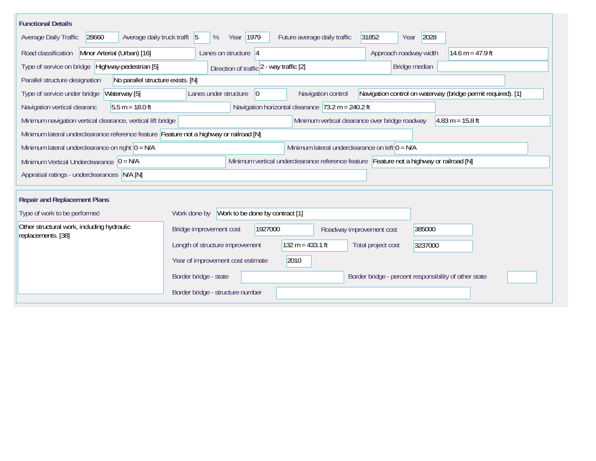| <b>Functional Details</b>                                                                                                             |                                                                                                                            |  |  |  |  |  |  |  |
|---------------------------------------------------------------------------------------------------------------------------------------|----------------------------------------------------------------------------------------------------------------------------|--|--|--|--|--|--|--|
| 28660<br>Average daily truck traffi 5<br>Average Daily Traffic                                                                        | 2028<br>Year 1979<br>Future average daily traffic<br>31852<br>%<br>Year                                                    |  |  |  |  |  |  |  |
| Road classification<br>Minor Arterial (Urban) [16]                                                                                    | Approach roadway width<br>Lanes on structure $ 4$<br>14.6 m = 47.9 ft                                                      |  |  |  |  |  |  |  |
| Type of service on bridge Highway-pedestrian [5]                                                                                      | Bridge median<br>Direction of traffic 2 - way traffic [2]                                                                  |  |  |  |  |  |  |  |
| Parallel structure designation<br>No parallel structure exists. [N]                                                                   |                                                                                                                            |  |  |  |  |  |  |  |
| Waterway [5]<br>Type of service under bridge                                                                                          | Navigation control on waterway (bridge permit required). [1]<br>Navigation control<br>Lanes under structure<br>$ 0\rangle$ |  |  |  |  |  |  |  |
| $5.5 m = 18.0 ft$<br>Navigation vertical clearanc                                                                                     | Navigation horizontal clearance $73.2 \text{ m} = 240.2 \text{ ft}$                                                        |  |  |  |  |  |  |  |
| Minimum navigation vertical clearance, vertical lift bridge<br>Minimum vertical clearance over bridge roadway<br>$4.83 m = 15.8 ft$   |                                                                                                                            |  |  |  |  |  |  |  |
| Minimum lateral underclearance reference feature Feature not a highway or railroad [N]                                                |                                                                                                                            |  |  |  |  |  |  |  |
| Minimum lateral underclearance on right $ 0 = N/A$                                                                                    | Minimum lateral underclearance on left $0 = N/A$                                                                           |  |  |  |  |  |  |  |
| Minimum vertical underclearance reference feature Feature not a highway or railroad [N]<br>Minimum Vertical Underclearance $ 0 = N/A$ |                                                                                                                            |  |  |  |  |  |  |  |
| Appraisal ratings - underclearances N/A [N]                                                                                           |                                                                                                                            |  |  |  |  |  |  |  |
|                                                                                                                                       |                                                                                                                            |  |  |  |  |  |  |  |
| <b>Repair and Replacement Plans</b>                                                                                                   |                                                                                                                            |  |  |  |  |  |  |  |
| Type of work to be performed                                                                                                          | Work to be done by contract [1]<br>Work done by                                                                            |  |  |  |  |  |  |  |
| Other structural work, including hydraulic<br>replacements. [38]                                                                      | Bridge improvement cost<br>1927000<br>385000<br>Roadway improvement cost                                                   |  |  |  |  |  |  |  |
|                                                                                                                                       | $132 m = 433.1 ft$<br>Length of structure improvement<br>Total project cost<br>3237000                                     |  |  |  |  |  |  |  |
|                                                                                                                                       | 2010<br>Year of improvement cost estimate                                                                                  |  |  |  |  |  |  |  |
|                                                                                                                                       | Border bridge - state<br>Border bridge - percent responsibility of other state                                             |  |  |  |  |  |  |  |
|                                                                                                                                       | Border bridge - structure number                                                                                           |  |  |  |  |  |  |  |